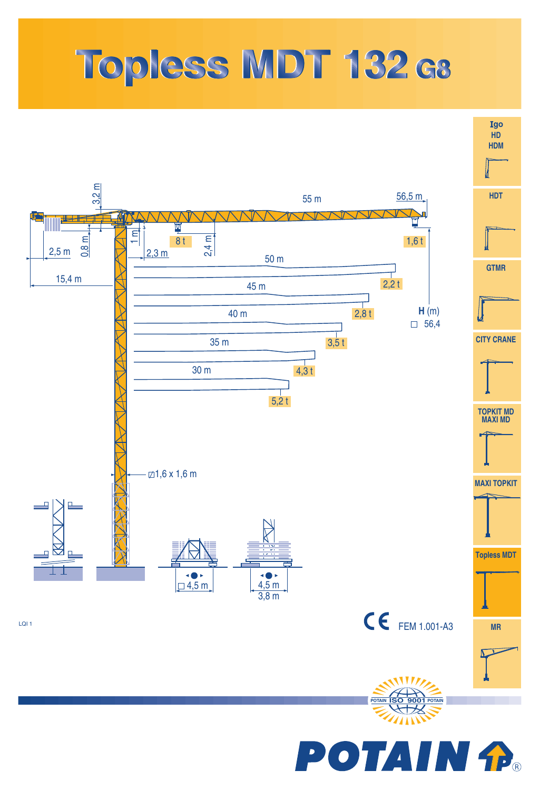## Topless MDT 132 ca

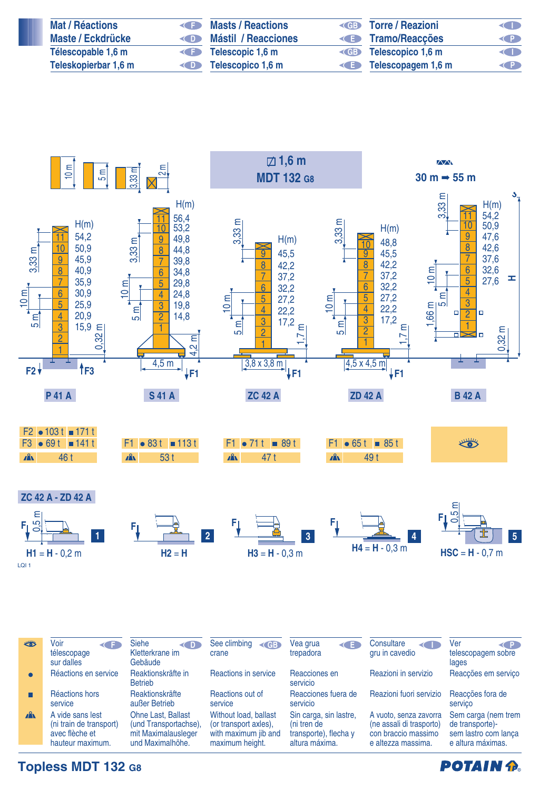| <b>Mat / Réactions</b>   | Masts / Reactions             | <b>KGB</b> Torre / Reazioni        | <b>KID</b> |
|--------------------------|-------------------------------|------------------------------------|------------|
| <b>Maste / Eckdrücke</b> | Mástil / Reacciones           | <b>E</b> Tramo/Reacções            | <b>KP</b>  |
| Télescopable 1,6 m       | $\leftarrow$ Telescopic 1.6 m | <b>Example 3 Telescopico 1,6 m</b> | O          |
| Teleskopierbar 1,6 m     | Telescopico 1,6 m             | Telescopagem 1,6 m                 | <b>KP</b>  |



**Topless MDT 132 G8**

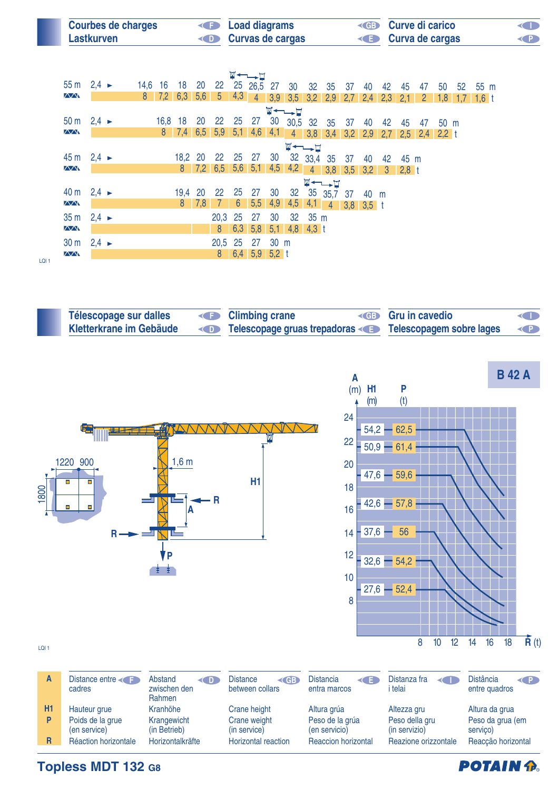| <b>Courbes de charges</b> | <b>Example 2</b> Load diagrams | <b>ED</b> Curve di carico | <b>KID</b> |
|---------------------------|--------------------------------|---------------------------|------------|
| Lastkurven                | Curvas de cargas               | <b>E</b> Curva de cargas  | <b>KP</b>  |

|                                                                    |  |  |                |  |         |               |                |     | ₩←∟→⊡                  |                |                                                               |         |                  |             |      |       |      |                |           |                 |         |
|--------------------------------------------------------------------|--|--|----------------|--|---------|---------------|----------------|-----|------------------------|----------------|---------------------------------------------------------------|---------|------------------|-------------|------|-------|------|----------------|-----------|-----------------|---------|
| $55 \text{ m}$ 2,4 $\blacktriangleright$                           |  |  |                |  |         |               |                |     |                        |                | 14,6 16 18 20 22 25 26,5 27 30 32 35 37 40                    |         |                  |             |      | 42 45 |      | 47             | 50        | 52 <sub>2</sub> | 55 m    |
| $\sqrt{N}$                                                         |  |  | 8 <sup>1</sup> |  |         |               |                |     |                        |                |                                                               |         |                  |             |      |       |      | $\overline{2}$ | $1,8$ 1,7 |                 | $1,6$ t |
| 7,2 6,3 5,6 5 4,3 4 3,9 3,5 3,2 2,9 2,7 2,4 2,3 2,1<br><b>W←→⊔</b> |  |  |                |  |         |               |                |     |                        |                |                                                               |         |                  |             |      |       |      |                |           |                 |         |
| 50 m $2,4 \rightarrow$                                             |  |  |                |  |         |               |                |     | 16,8 18 20 22 25 27 30 |                | 30,5 32 35 37                                                 |         |                  |             | 40   | 42    | 45   | 47             | 50 m      |                 |         |
| $\Delta\Delta$                                                     |  |  |                |  |         |               |                |     |                        |                | 8 7,4 6,5 5,9 5,1 4,6 4,1 4 3,8 3,4 3,2 2,9 2,7 2,5 2,4 2,2 t |         |                  |             |      |       |      |                |           |                 |         |
|                                                                    |  |  |                |  |         |               |                |     |                        |                | $\blacksquare \dashrightarrow \blacksquare$                   |         |                  |             |      |       |      |                |           |                 |         |
| $45 \text{ m}$ 2,4 $\blacktriangleright$                           |  |  |                |  | 18,2 20 |               |                |     | 22  25  27  30         |                |                                                               |         | 32  33,4  35  37 |             | 40   | 42    | 45 m |                |           |                 |         |
| $\sqrt{N}$                                                         |  |  |                |  |         |               |                |     |                        |                | 8 7,2 6,5 5,6 5,1 4,5 4,2 4 3,8 3,5 3,2 3 2,8 t               |         |                  |             |      |       |      |                |           |                 |         |
|                                                                    |  |  |                |  |         |               |                |     |                        |                |                                                               |         | <b>W←←→⊔</b>     |             |      |       |      |                |           |                 |         |
| 40 m $2,4 \rightarrow$                                             |  |  |                |  | 19,4 20 |               | 22 25          |     | 27 30                  |                |                                                               |         |                  |             | 40 m |       |      |                |           |                 |         |
| $\Delta\Delta$                                                     |  |  |                |  |         | $8 \quad 7,8$ | $\bullet$      | - 6 |                        |                | $5,5$ 4,9 4,5 4,1 4                                           |         |                  | $3,8$ 3,5 t |      |       |      |                |           |                 |         |
| $35 \text{ m}$ 2,4 $\blacktriangleright$                           |  |  |                |  |         |               | 20,3 25        |     | 27                     | 30             |                                                               | 32 35 m |                  |             |      |       |      |                |           |                 |         |
| $\sqrt{N}$                                                         |  |  |                |  |         |               | 8 <sub>1</sub> |     | $6,3$ 5,8              |                | $5,1$ 4,8 4,3 t                                               |         |                  |             |      |       |      |                |           |                 |         |
| $30 \text{ m}$ 2,4 $\blacktriangleright$                           |  |  |                |  |         |               | 20,5 25        |     | 27                     | $30 \text{ m}$ |                                                               |         |                  |             |      |       |      |                |           |                 |         |
| $\overline{\triangle\triangle\Lambda}$                             |  |  |                |  |         |               | 8 <sup>°</sup> |     | $6,4$ 5,9              | $5,2 \t1$      |                                                               |         |                  |             |      |       |      |                |           |                 |         |
|                                                                    |  |  |                |  |         |               |                |     |                        |                |                                                               |         |                  |             |      |       |      |                |           |                 |         |

LQI 1

| Télescopage sur dalles         | <b>E</b> Climbing crane                               | <b>ED</b> Gru in cavedio | $\left\langle \right $ |
|--------------------------------|-------------------------------------------------------|--------------------------|------------------------|
| <b>Kletterkrane im Gebäude</b> | Telescopage gruas trepadoras Telescopagem sobre lages |                          | $\left( P\right)$      |



**Topless MDT 132 G8**